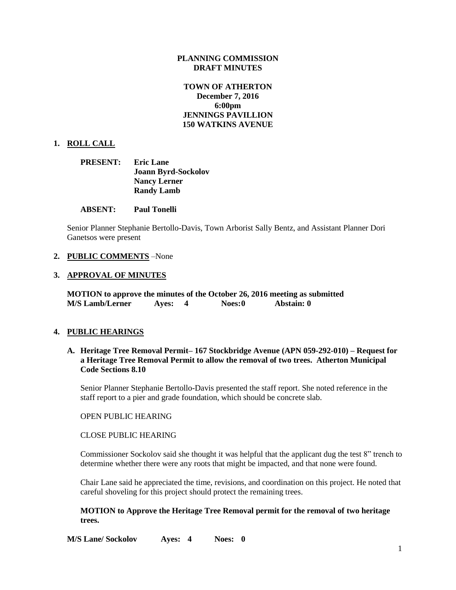## **PLANNING COMMISSION DRAFT MINUTES**

# **TOWN OF ATHERTON December 7, 2016 6:00pm JENNINGS PAVILLION 150 WATKINS AVENUE**

## **1. ROLL CALL**

| <b>PRESENT:</b> | <b>Eric Lane</b>           |
|-----------------|----------------------------|
|                 | <b>Joann Byrd-Sockolov</b> |
|                 | <b>Nancy Lerner</b>        |
|                 | <b>Randy Lamb</b>          |

### **ABSENT: Paul Tonelli**

Senior Planner Stephanie Bertollo-Davis, Town Arborist Sally Bentz, and Assistant Planner Dori Ganetsos were present

### **2. PUBLIC COMMENTS** –None

#### **3. APPROVAL OF MINUTES**

**MOTION to approve the minutes of the October 26, 2016 meeting as submitted M/S Lamb/Lerner Ayes: 4 Noes:0 Abstain: 0**

### **4. PUBLIC HEARINGS**

## **A. Heritage Tree Removal Permit– 167 Stockbridge Avenue (APN 059-292-010) – Request for a Heritage Tree Removal Permit to allow the removal of two trees. Atherton Municipal Code Sections 8.10**

Senior Planner Stephanie Bertollo-Davis presented the staff report. She noted reference in the staff report to a pier and grade foundation, which should be concrete slab.

#### OPEN PUBLIC HEARING

### CLOSE PUBLIC HEARING

Commissioner Sockolov said she thought it was helpful that the applicant dug the test 8" trench to determine whether there were any roots that might be impacted, and that none were found.

Chair Lane said he appreciated the time, revisions, and coordination on this project. He noted that careful shoveling for this project should protect the remaining trees.

## **MOTION to Approve the Heritage Tree Removal permit for the removal of two heritage trees.**

**M/S Lane/ Sockolov Ayes: 4 Noes: 0**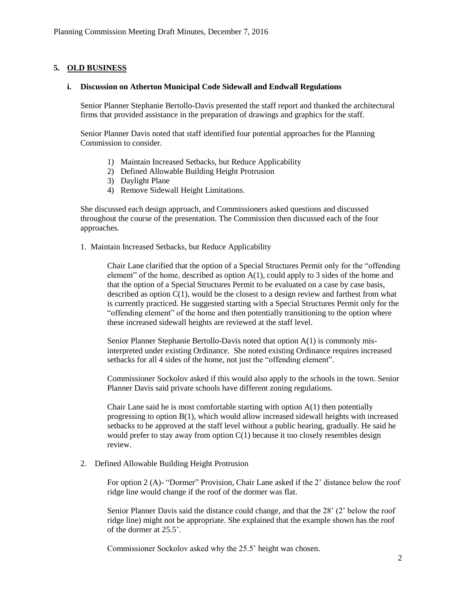# **5. OLD BUSINESS**

## **i. Discussion on Atherton Municipal Code Sidewall and Endwall Regulations**

Senior Planner Stephanie Bertollo-Davis presented the staff report and thanked the architectural firms that provided assistance in the preparation of drawings and graphics for the staff.

Senior Planner Davis noted that staff identified four potential approaches for the Planning Commission to consider.

- 1) Maintain Increased Setbacks, but Reduce Applicability
- 2) Defined Allowable Building Height Protrusion
- 3) Daylight Plane
- 4) Remove Sidewall Height Limitations.

She discussed each design approach, and Commissioners asked questions and discussed throughout the course of the presentation. The Commission then discussed each of the four approaches.

1. Maintain Increased Setbacks, but Reduce Applicability

Chair Lane clarified that the option of a Special Structures Permit only for the "offending element" of the home, described as option  $A(1)$ , could apply to 3 sides of the home and that the option of a Special Structures Permit to be evaluated on a case by case basis, described as option  $C(1)$ , would be the closest to a design review and farthest from what is currently practiced. He suggested starting with a Special Structures Permit only for the "offending element" of the home and then potentially transitioning to the option where these increased sidewall heights are reviewed at the staff level.

Senior Planner Stephanie Bertollo-Davis noted that option A(1) is commonly misinterpreted under existing Ordinance. She noted existing Ordinance requires increased setbacks for all 4 sides of the home, not just the "offending element".

Commissioner Sockolov asked if this would also apply to the schools in the town. Senior Planner Davis said private schools have different zoning regulations.

Chair Lane said he is most comfortable starting with option  $A(1)$  then potentially progressing to option  $B(1)$ , which would allow increased sidewall heights with increased setbacks to be approved at the staff level without a public hearing, gradually. He said he would prefer to stay away from option  $C(1)$  because it too closely resembles design review.

2. Defined Allowable Building Height Protrusion

For option 2 (A)- "Dormer" Provision, Chair Lane asked if the 2' distance below the roof ridge line would change if the roof of the dormer was flat.

Senior Planner Davis said the distance could change, and that the 28' (2' below the roof ridge line) might not be appropriate. She explained that the example shown has the roof of the dormer at 25.5'.

Commissioner Sockolov asked why the 25.5' height was chosen.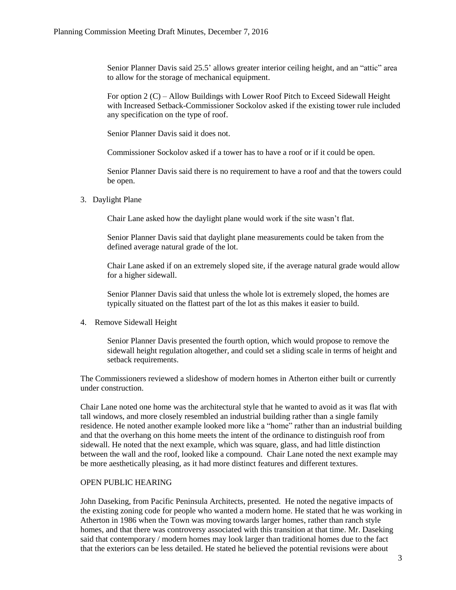Senior Planner Davis said 25.5' allows greater interior ceiling height, and an "attic" area to allow for the storage of mechanical equipment.

For option 2 (C) – Allow Buildings with Lower Roof Pitch to Exceed Sidewall Height with Increased Setback-Commissioner Sockolov asked if the existing tower rule included any specification on the type of roof.

Senior Planner Davis said it does not.

Commissioner Sockolov asked if a tower has to have a roof or if it could be open.

Senior Planner Davis said there is no requirement to have a roof and that the towers could be open.

3. Daylight Plane

Chair Lane asked how the daylight plane would work if the site wasn't flat.

Senior Planner Davis said that daylight plane measurements could be taken from the defined average natural grade of the lot.

Chair Lane asked if on an extremely sloped site, if the average natural grade would allow for a higher sidewall.

Senior Planner Davis said that unless the whole lot is extremely sloped, the homes are typically situated on the flattest part of the lot as this makes it easier to build.

4. Remove Sidewall Height

Senior Planner Davis presented the fourth option, which would propose to remove the sidewall height regulation altogether, and could set a sliding scale in terms of height and setback requirements.

The Commissioners reviewed a slideshow of modern homes in Atherton either built or currently under construction.

Chair Lane noted one home was the architectural style that he wanted to avoid as it was flat with tall windows, and more closely resembled an industrial building rather than a single family residence. He noted another example looked more like a "home" rather than an industrial building and that the overhang on this home meets the intent of the ordinance to distinguish roof from sidewall. He noted that the next example, which was square, glass, and had little distinction between the wall and the roof, looked like a compound. Chair Lane noted the next example may be more aesthetically pleasing, as it had more distinct features and different textures.

### OPEN PUBLIC HEARING

John Daseking, from Pacific Peninsula Architects, presented. He noted the negative impacts of the existing zoning code for people who wanted a modern home. He stated that he was working in Atherton in 1986 when the Town was moving towards larger homes, rather than ranch style homes, and that there was controversy associated with this transition at that time. Mr. Daseking said that contemporary / modern homes may look larger than traditional homes due to the fact that the exteriors can be less detailed. He stated he believed the potential revisions were about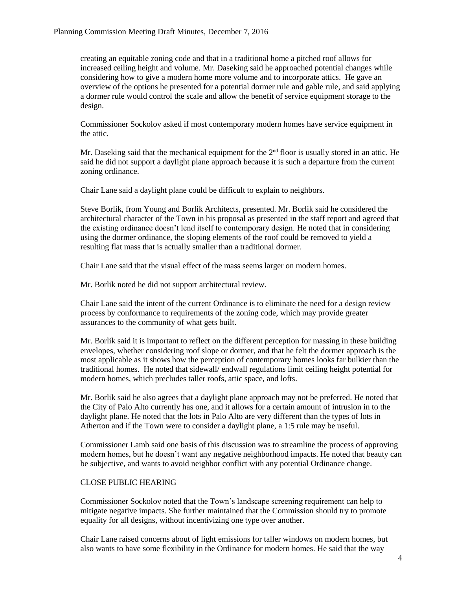creating an equitable zoning code and that in a traditional home a pitched roof allows for increased ceiling height and volume. Mr. Daseking said he approached potential changes while considering how to give a modern home more volume and to incorporate attics. He gave an overview of the options he presented for a potential dormer rule and gable rule, and said applying a dormer rule would control the scale and allow the benefit of service equipment storage to the design.

Commissioner Sockolov asked if most contemporary modern homes have service equipment in the attic.

Mr. Daseking said that the mechanical equipment for the  $2<sup>nd</sup>$  floor is usually stored in an attic. He said he did not support a daylight plane approach because it is such a departure from the current zoning ordinance.

Chair Lane said a daylight plane could be difficult to explain to neighbors.

Steve Borlik, from Young and Borlik Architects, presented. Mr. Borlik said he considered the architectural character of the Town in his proposal as presented in the staff report and agreed that the existing ordinance doesn't lend itself to contemporary design. He noted that in considering using the dormer ordinance, the sloping elements of the roof could be removed to yield a resulting flat mass that is actually smaller than a traditional dormer.

Chair Lane said that the visual effect of the mass seems larger on modern homes.

Mr. Borlik noted he did not support architectural review.

Chair Lane said the intent of the current Ordinance is to eliminate the need for a design review process by conformance to requirements of the zoning code, which may provide greater assurances to the community of what gets built.

Mr. Borlik said it is important to reflect on the different perception for massing in these building envelopes, whether considering roof slope or dormer, and that he felt the dormer approach is the most applicable as it shows how the perception of contemporary homes looks far bulkier than the traditional homes. He noted that sidewall/ endwall regulations limit ceiling height potential for modern homes, which precludes taller roofs, attic space, and lofts.

Mr. Borlik said he also agrees that a daylight plane approach may not be preferred. He noted that the City of Palo Alto currently has one, and it allows for a certain amount of intrusion in to the daylight plane. He noted that the lots in Palo Alto are very different than the types of lots in Atherton and if the Town were to consider a daylight plane, a 1:5 rule may be useful.

Commissioner Lamb said one basis of this discussion was to streamline the process of approving modern homes, but he doesn't want any negative neighborhood impacts. He noted that beauty can be subjective, and wants to avoid neighbor conflict with any potential Ordinance change.

### CLOSE PUBLIC HEARING

Commissioner Sockolov noted that the Town's landscape screening requirement can help to mitigate negative impacts. She further maintained that the Commission should try to promote equality for all designs, without incentivizing one type over another.

Chair Lane raised concerns about of light emissions for taller windows on modern homes, but also wants to have some flexibility in the Ordinance for modern homes. He said that the way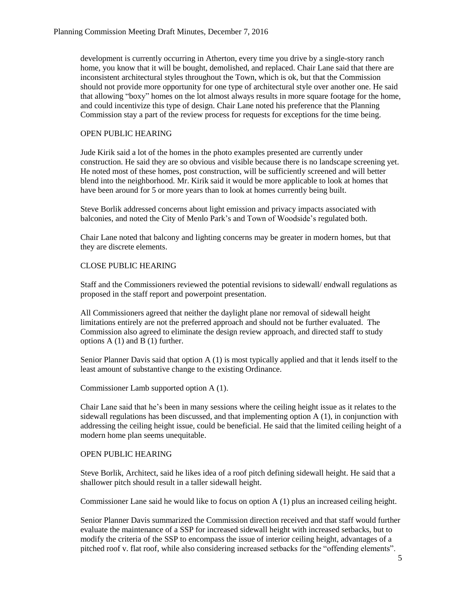development is currently occurring in Atherton, every time you drive by a single-story ranch home, you know that it will be bought, demolished, and replaced. Chair Lane said that there are inconsistent architectural styles throughout the Town, which is ok, but that the Commission should not provide more opportunity for one type of architectural style over another one. He said that allowing "boxy" homes on the lot almost always results in more square footage for the home, and could incentivize this type of design. Chair Lane noted his preference that the Planning Commission stay a part of the review process for requests for exceptions for the time being.

# OPEN PUBLIC HEARING

Jude Kirik said a lot of the homes in the photo examples presented are currently under construction. He said they are so obvious and visible because there is no landscape screening yet. He noted most of these homes, post construction, will be sufficiently screened and will better blend into the neighborhood. Mr. Kirik said it would be more applicable to look at homes that have been around for 5 or more years than to look at homes currently being built.

Steve Borlik addressed concerns about light emission and privacy impacts associated with balconies, and noted the City of Menlo Park's and Town of Woodside's regulated both.

Chair Lane noted that balcony and lighting concerns may be greater in modern homes, but that they are discrete elements.

# CLOSE PUBLIC HEARING

Staff and the Commissioners reviewed the potential revisions to sidewall/ endwall regulations as proposed in the staff report and powerpoint presentation.

All Commissioners agreed that neither the daylight plane nor removal of sidewall height limitations entirely are not the preferred approach and should not be further evaluated. The Commission also agreed to eliminate the design review approach, and directed staff to study options A (1) and B (1) further.

Senior Planner Davis said that option A (1) is most typically applied and that it lends itself to the least amount of substantive change to the existing Ordinance.

Commissioner Lamb supported option A (1).

Chair Lane said that he's been in many sessions where the ceiling height issue as it relates to the sidewall regulations has been discussed, and that implementing option  $A(1)$ , in conjunction with addressing the ceiling height issue, could be beneficial. He said that the limited ceiling height of a modern home plan seems unequitable.

# OPEN PUBLIC HEARING

Steve Borlik, Architect, said he likes idea of a roof pitch defining sidewall height. He said that a shallower pitch should result in a taller sidewall height.

Commissioner Lane said he would like to focus on option A (1) plus an increased ceiling height.

Senior Planner Davis summarized the Commission direction received and that staff would further evaluate the maintenance of a SSP for increased sidewall height with increased setbacks, but to modify the criteria of the SSP to encompass the issue of interior ceiling height, advantages of a pitched roof v. flat roof, while also considering increased setbacks for the "offending elements".